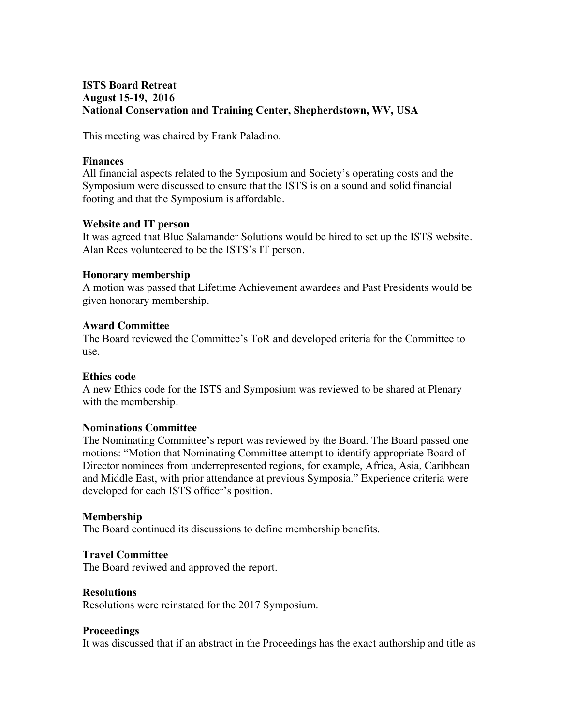# **ISTS Board Retreat August 15-19, 2016 National Conservation and Training Center, Shepherdstown, WV, USA**

This meeting was chaired by Frank Paladino.

## **Finances**

All financial aspects related to the Symposium and Society's operating costs and the Symposium were discussed to ensure that the ISTS is on a sound and solid financial footing and that the Symposium is affordable.

## **Website and IT person**

It was agreed that Blue Salamander Solutions would be hired to set up the ISTS website. Alan Rees volunteered to be the ISTS's IT person.

## **Honorary membership**

A motion was passed that Lifetime Achievement awardees and Past Presidents would be given honorary membership.

## **Award Committee**

The Board reviewed the Committee's ToR and developed criteria for the Committee to use.

#### **Ethics code**

A new Ethics code for the ISTS and Symposium was reviewed to be shared at Plenary with the membership.

#### **Nominations Committee**

The Nominating Committee's report was reviewed by the Board. The Board passed one motions: "Motion that Nominating Committee attempt to identify appropriate Board of Director nominees from underrepresented regions, for example, Africa, Asia, Caribbean and Middle East, with prior attendance at previous Symposia." Experience criteria were developed for each ISTS officer's position.

#### **Membership**

The Board continued its discussions to define membership benefits.

#### **Travel Committee**

The Board reviwed and approved the report.

#### **Resolutions**

Resolutions were reinstated for the 2017 Symposium.

## **Proceedings**

It was discussed that if an abstract in the Proceedings has the exact authorship and title as